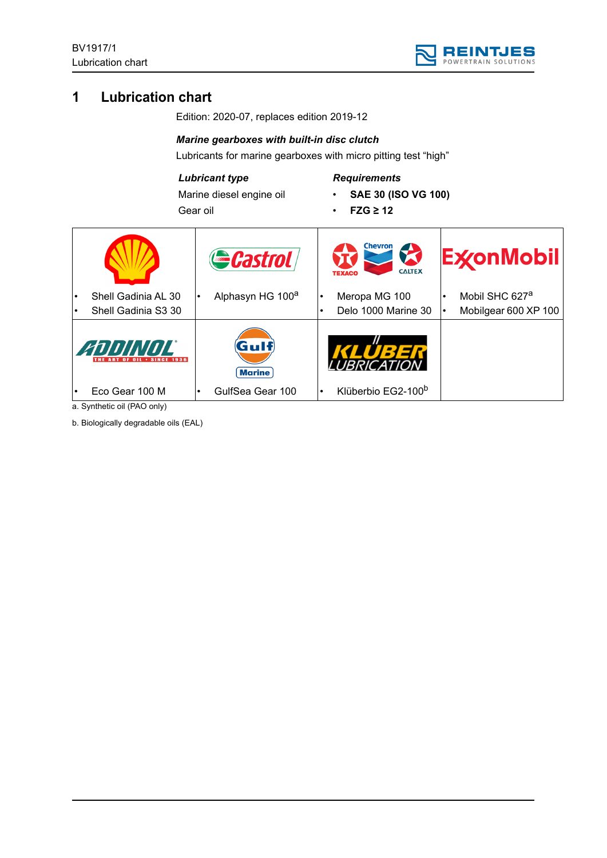

# **1 Lubrication chart**

Edition: 2020-07, replaces edition 2019-12

#### *Marine gearboxes with built-in disc clutch*

Lubricants for marine gearboxes with micro pitting test "high"

### *Lubricant type*

Marine diesel engine oil Gear oil

# *Requirements*

- **SAE 30 (ISO VG 100)**
- **FZG ≥ 12**

| Shell Gadinia AL 30<br>$\bullet$<br>Shell Gadinia S3 30              | Gastrol<br>Alphasyn HG 100 <sup>a</sup>             | <b>Chevron</b><br>$\sum$<br><b>CALTEX</b><br>Meropa MG 100<br>Delo 1000 Marine 30 | <b>ExconMobil</b><br>Mobil SHC 627 <sup>a</sup><br>Mobilgear 600 XP 100 |
|----------------------------------------------------------------------|-----------------------------------------------------|-----------------------------------------------------------------------------------|-------------------------------------------------------------------------|
| ANNINNI<br><b>OF OIL . SINCE 1936</b><br>Eco Gear 100 M<br>$\bullet$ | $({\bf G}$ ulf<br><b>Marine</b><br>GulfSea Gear 100 | Klüberbio EG2-100 <sup>b</sup>                                                    |                                                                         |

a. Synthetic oil (PAO only)

b. Biologically degradable oils (EAL)